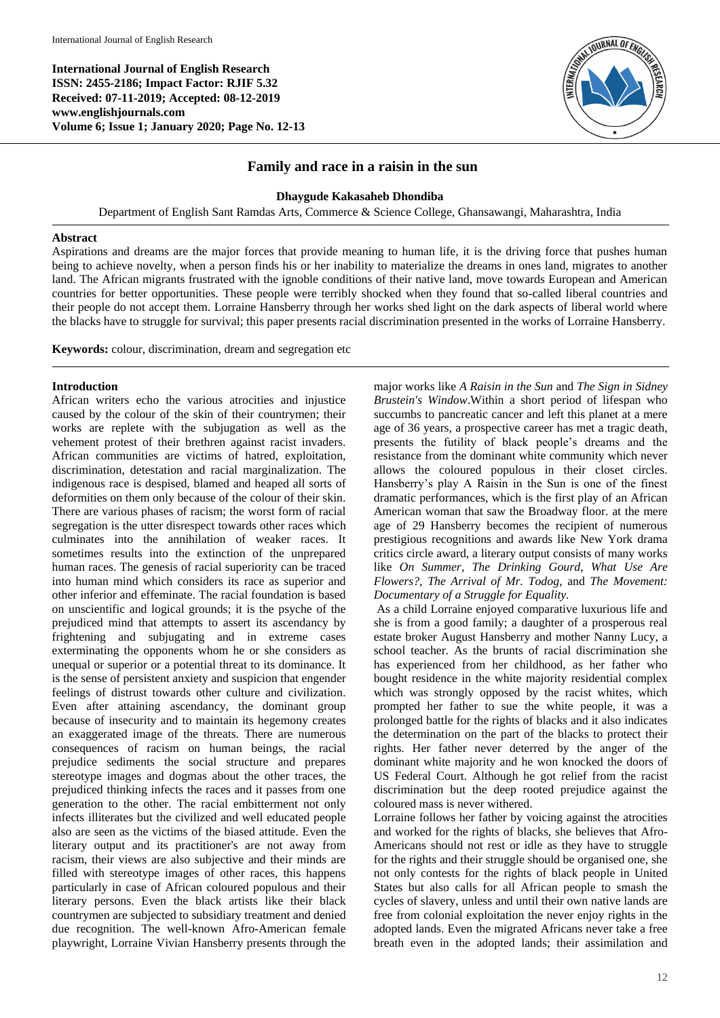**International Journal of English Research ISSN: 2455-2186; Impact Factor: RJIF 5.32 Received: 07-11-2019; Accepted: 08-12-2019 www.englishjournals.com Volume 6; Issue 1; January 2020; Page No. 12-13**



# **Family and race in a raisin in the sun**

#### **Dhaygude Kakasaheb Dhondiba**

Department of English Sant Ramdas Arts, Commerce & Science College, Ghansawangi, Maharashtra, India

#### **Abstract**

Aspirations and dreams are the major forces that provide meaning to human life, it is the driving force that pushes human being to achieve novelty, when a person finds his or her inability to materialize the dreams in ones land, migrates to another land. The African migrants frustrated with the ignoble conditions of their native land, move towards European and American countries for better opportunities. These people were terribly shocked when they found that so-called liberal countries and their people do not accept them. Lorraine Hansberry through her works shed light on the dark aspects of liberal world where the blacks have to struggle for survival; this paper presents racial discrimination presented in the works of Lorraine Hansberry.

**Keywords:** colour, discrimination, dream and segregation etc

### **Introduction**

African writers echo the various atrocities and injustice caused by the colour of the skin of their countrymen; their works are replete with the subjugation as well as the vehement protest of their brethren against racist invaders. African communities are victims of hatred, exploitation, discrimination, detestation and racial marginalization. The indigenous race is despised, blamed and heaped all sorts of deformities on them only because of the colour of their skin. There are various phases of racism; the worst form of racial segregation is the utter disrespect towards other races which culminates into the annihilation of weaker races. It sometimes results into the extinction of the unprepared human races. The genesis of racial superiority can be traced into human mind which considers its race as superior and other inferior and effeminate. The racial foundation is based on unscientific and logical grounds; it is the psyche of the prejudiced mind that attempts to assert its ascendancy by frightening and subjugating and in extreme cases exterminating the opponents whom he or she considers as unequal or superior or a potential threat to its dominance. It is the sense of persistent anxiety and suspicion that engender feelings of distrust towards other culture and civilization. Even after attaining ascendancy, the dominant group because of insecurity and to maintain its hegemony creates an exaggerated image of the threats. There are numerous consequences of racism on human beings, the racial prejudice sediments the social structure and prepares stereotype images and dogmas about the other traces, the prejudiced thinking infects the races and it passes from one generation to the other. The racial embitterment not only infects illiterates but the civilized and well educated people also are seen as the victims of the biased attitude. Even the literary output and its practitioner's are not away from racism, their views are also subjective and their minds are filled with stereotype images of other races, this happens particularly in case of African coloured populous and their literary persons. Even the black artists like their black countrymen are subjected to subsidiary treatment and denied due recognition. The well-known Afro-American female playwright, Lorraine Vivian Hansberry presents through the

major works like *A Raisin in the Sun* and *The Sign in Sidney Brustein's Window*.Within a short period of lifespan who succumbs to pancreatic cancer and left this planet at a mere age of 36 years, a prospective career has met a tragic death, presents the futility of black people's dreams and the resistance from the dominant white community which never allows the coloured populous in their closet circles. Hansberry's play A Raisin in the Sun is one of the finest dramatic performances, which is the first play of an African American woman that saw the Broadway floor. at the mere age of 29 Hansberry becomes the recipient of numerous prestigious recognitions and awards like New York drama critics circle award, a literary output consists of many works like *On Summer*, *The Drinking Gourd*, *What Use Are Flowers?*, *The Arrival of Mr. Todog*, and *The Movement: Documentary of a Struggle for Equality.*

As a child Lorraine enjoyed comparative luxurious life and she is from a good family; a daughter of a prosperous real estate broker August Hansberry and mother Nanny Lucy, a school teacher. As the brunts of racial discrimination she has experienced from her childhood, as her father who bought residence in the white majority residential complex which was strongly opposed by the racist whites, which prompted her father to sue the white people, it was a prolonged battle for the rights of blacks and it also indicates the determination on the part of the blacks to protect their rights. Her father never deterred by the anger of the dominant white majority and he won knocked the doors of US Federal Court. Although he got relief from the racist discrimination but the deep rooted prejudice against the coloured mass is never withered.

Lorraine follows her father by voicing against the atrocities and worked for the rights of blacks, she believes that Afro-Americans should not rest or idle as they have to struggle for the rights and their struggle should be organised one, she not only contests for the rights of black people in United States but also calls for all African people to smash the cycles of slavery, unless and until their own native lands are free from colonial exploitation the never enjoy rights in the adopted lands. Even the migrated Africans never take a free breath even in the adopted lands; their assimilation and